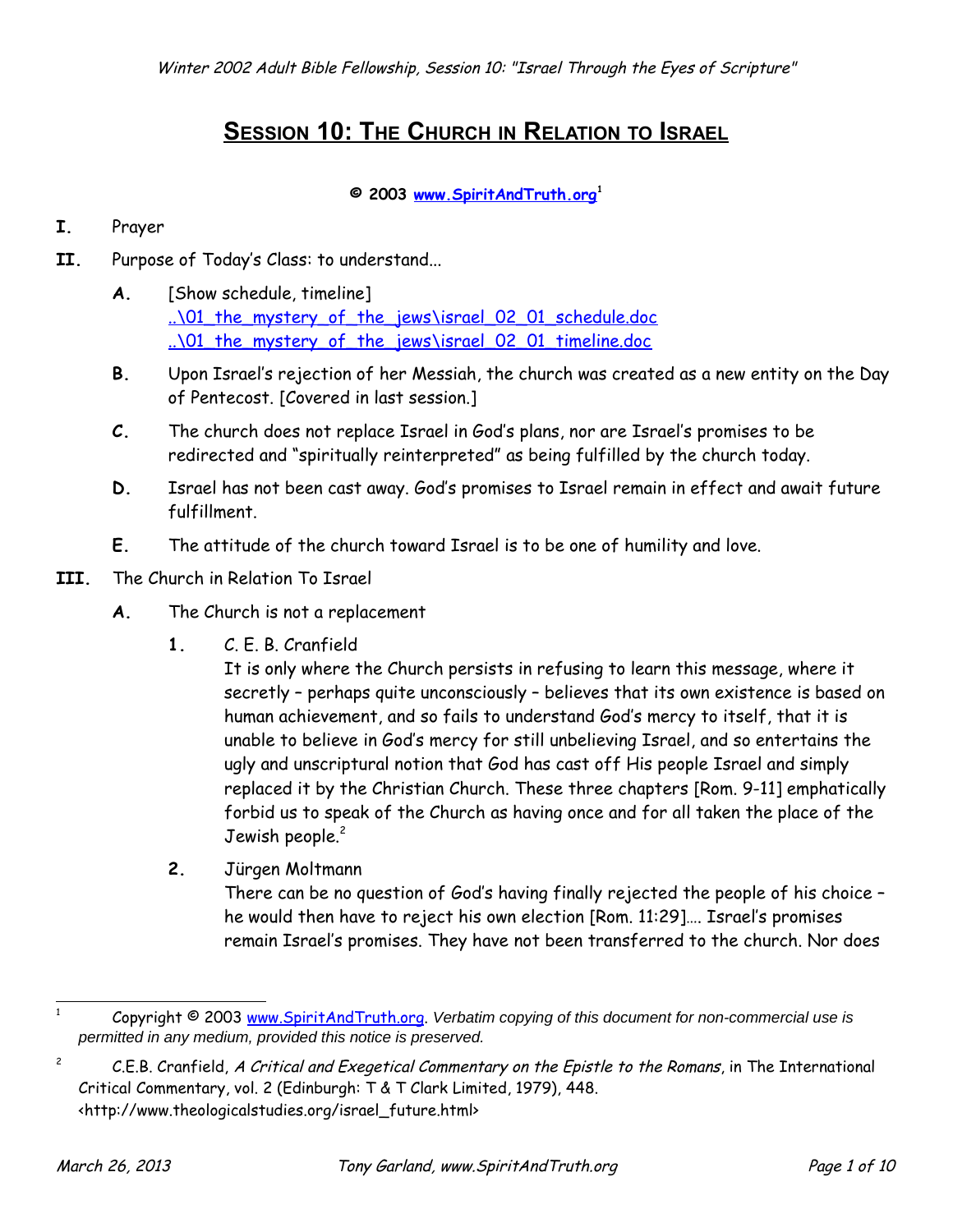## **SESSION 10: THE CHURCH IN RELATION TO ISRAEL**

## **© 2003 [www.SpiritAndTruth.org](http://www.SpiritAndTruth.org/teaching)[1](#page-0-0)**

## **I.** Prayer

- **II.** Purpose of Today's Class: to understand...
	- **A.** [Show schedule, timeline] ..\01 the mystery of the jews\israel 02 01 schedule.doc [..\01\\_the\\_mystery\\_of\\_the\\_jews\israel\\_02\\_01\\_timeline.doc](file:///C:/garland/users/spirit/website/teaching/israel_through_the_eyes_of_scripture/01_the_mystery_of_the_jews/israel_02_01_timeline.doc)
	- **B.** Upon Israel's rejection of her Messiah, the church was created as a new entity on the Day of Pentecost. [Covered in last session.]
	- **C.** The church does not replace Israel in God's plans, nor are Israel's promises to be redirected and "spiritually reinterpreted" as being fulfilled by the church today.
	- **D.** Israel has not been cast away. God's promises to Israel remain in effect and await future fulfillment.
	- **E.** The attitude of the church toward Israel is to be one of humility and love.
- **III.** The Church in Relation To Israel
	- **A.** The Church is not a replacement
		- **1.** C. E. B. Cranfield

It is only where the Church persists in refusing to learn this message, where it secretly – perhaps quite unconsciously – believes that its own existence is based on human achievement, and so fails to understand God's mercy to itself, that it is unable to believe in God's mercy for still unbelieving Israel, and so entertains the ugly and unscriptural notion that God has cast off His people Israel and simply replaced it by the Christian Church. These three chapters [Rom. 9-11] emphatically forbid us to speak of the Church as having once and for all taken the place of the Jewish people.<sup>[2](#page-0-1)</sup>

**2.** Jürgen Moltmann

There can be no question of God's having finally rejected the people of his choice – he would then have to reject his own election [Rom. 11:29]…. Israel's promises remain Israel's promises. They have not been transferred to the church. Nor does

<span id="page-0-0"></span><sup>1</sup> Copyright © 2003 [www.SpiritAndTruth.org.](http://www.SpiritAndTruth.org/) Verbatim copying of this document for non-commercial use is permitted in any medium, provided this notice is preserved.

<span id="page-0-1"></span><sup>2</sup> C.E.B. Cranfield, A Critical and Exegetical Commentary on the Epistle to the Romans, in The International Critical Commentary, vol. 2 (Edinburgh: T & T Clark Limited, 1979), 448. <http://www.theologicalstudies.org/israel\_future.html>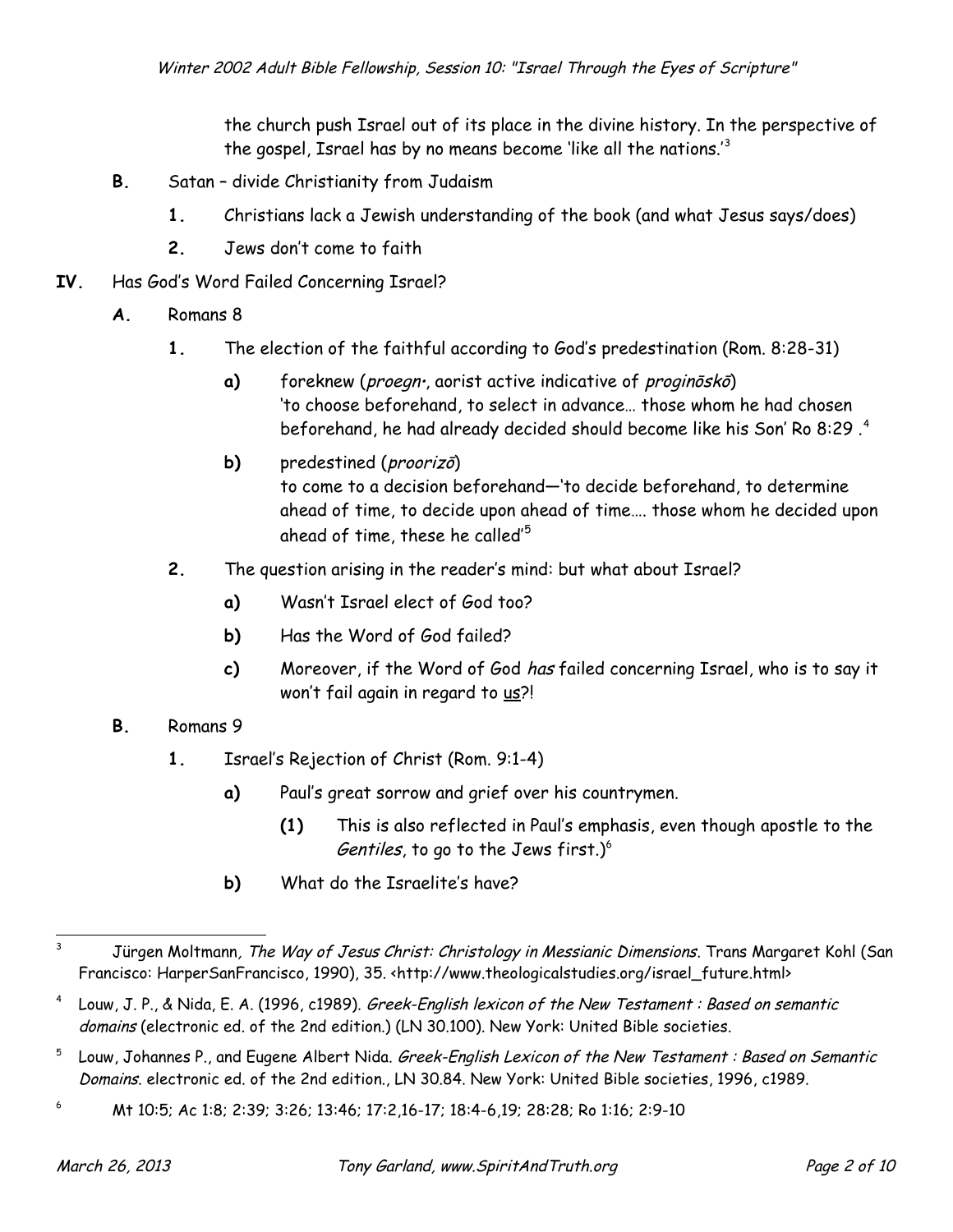the church push Israel out of its place in the divine history. In the perspective of the gospel, Israel has by no means become 'like all the nations.'<sup>[3](#page-1-0)</sup>

- **B.** Satan divide Christianity from Judaism
	- **1.** Christians lack a Jewish understanding of the book (and what Jesus says/does)
	- **2.** Jews don't come to faith
- **IV.** Has God's Word Failed Concerning Israel?
	- **A.** Romans 8
		- **1.** The election of the faithful according to God's predestination (Rom. 8:28-31)
			- a) foreknew (*proegn*, aorist active indicative of *proginōskō*) 'to choose beforehand, to select in advance… those whom he had chosen beforehand, he had already decided should become like his Son' Ro 8:29 .[4](#page-1-1)
			- **b)** predestined (*proorizo*) to come to a decision beforehand—'to decide beforehand, to determine ahead of time, to decide upon ahead of time…. those whom he decided upon ahead of time, these he called'<sup>[5](#page-1-2)</sup>
		- **2.** The question arising in the reader's mind: but what about Israel?
			- **a)** Wasn't Israel elect of God too?
			- **b)** Has the Word of God failed?
			- **c)** Moreover, if the Word of God has failed concerning Israel, who is to say it won't fail again in regard to us?!
	- **B.** Romans 9
		- **1.** Israel's Rejection of Christ (Rom. 9:1-4)
			- **a)** Paul's great sorrow and grief over his countrymen.
				- **(1)** This is also reflected in Paul's emphasis, even though apostle to the Gentiles, to go to the Jews first.) $6$
			- **b)** What do the Israelite's have?

<span id="page-1-0"></span><sup>&</sup>lt;sup>3</sup> Jürgen Moltmann, The Way of Jesus Christ: Christology in Messianic Dimensions. Trans Margaret Kohl (San Francisco: HarperSanFrancisco, 1990), 35. <http://www.theologicalstudies.org/israel\_future.html>

<span id="page-1-1"></span><sup>4</sup> Louw, J. P., & Nida, E. A. (1996, c1989). Greek-English lexicon of the New Testament : Based on semantic domains (electronic ed. of the 2nd edition.) (LN 30.100). New York: United Bible societies.

<span id="page-1-2"></span><sup>5</sup> Louw, Johannes P., and Eugene Albert Nida. Greek-English Lexicon of the New Testament : Based on Semantic Domains. electronic ed. of the 2nd edition., LN 30.84. New York: United Bible societies, 1996, c1989.

<span id="page-1-3"></span><sup>6</sup> Mt 10:5; Ac 1:8; 2:39; 3:26; 13:46; 17:2,16-17; 18:4-6,19; 28:28; Ro 1:16; 2:9-10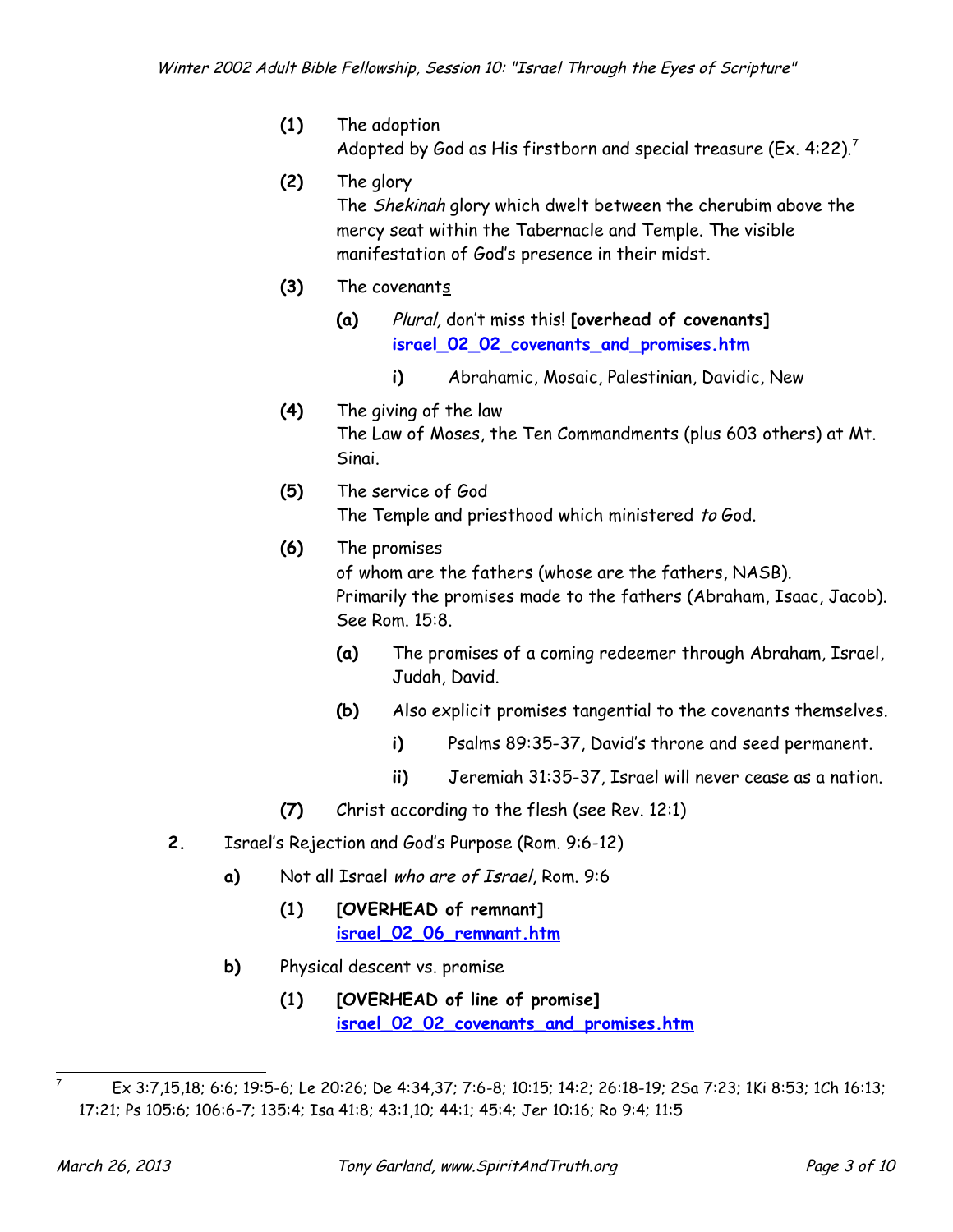- **(1)** The adoption Adopted by God as His firstborn and special treasure (Ex. 4:22).<sup>[7](#page-2-0)</sup>
- **(2)** The glory The Shekinah glory which dwelt between the cherubim above the mercy seat within the Tabernacle and Temple. The visible manifestation of God's presence in their midst.
- **(3)** The covenants
	- **(a)** Plural, don't miss this! **[overhead of covenants] [israel\\_02\\_02\\_covenants\\_and\\_promises.htm](http://www.spiritandtruth.org/teaching/israel_through_the_eyes_of_scripture/02_the_calling_of_abraham/israel_02_02_covenants_and_promises.htm)**
		- **i)** Abrahamic, Mosaic, Palestinian, Davidic, New
- **(4)** The giving of the law The Law of Moses, the Ten Commandments (plus 603 others) at Mt. Sinai.
- **(5)** The service of God The Temple and priesthood which ministered to God.
- **(6)** The promises of whom are the fathers (whose are the fathers, NASB). Primarily the promises made to the fathers (Abraham, Isaac, Jacob). See Rom. 15:8.
	- **(a)** The promises of a coming redeemer through Abraham, Israel, Judah, David.
	- **(b)** Also explicit promises tangential to the covenants themselves.
		- **i)** Psalms 89:35-37, David's throne and seed permanent.
		- **ii)** Jeremiah 31:35-37, Israel will never cease as a nation.
- **(7)** Christ according to the flesh (see Rev. 12:1)
- **2.** Israel's Rejection and God's Purpose (Rom. 9:6-12)
	- **a)** Not all Israel who are of Israel, Rom. 9:6
		- **(1) [OVERHEAD of remnant] [israel\\_02\\_06\\_remnant.htm](http://www.spiritandtruth.org/teaching/israel_through_the_eyes_of_scripture/06_the_promised_regeneration_of_israel/israel_02_06_remnant.htm)**
	- **b)** Physical descent vs. promise
		- **(1) [OVERHEAD of line of promise] [israel\\_02\\_02\\_covenants\\_and\\_promises.htm](http://www.spiritandtruth.org/teaching/israel_through_the_eyes_of_scripture/02_the_calling_of_abraham/israel_02_02_covenants_and_promises.htm)**

<span id="page-2-0"></span><sup>7</sup> Ex 3:7,15,18; 6:6; 19:5-6; Le 20:26; De 4:34,37; 7:6-8; 10:15; 14:2; 26:18-19; 2Sa 7:23; 1Ki 8:53; 1Ch 16:13; 17:21; Ps 105:6; 106:6-7; 135:4; Isa 41:8; 43:1,10; 44:1; 45:4; Jer 10:16; Ro 9:4; 11:5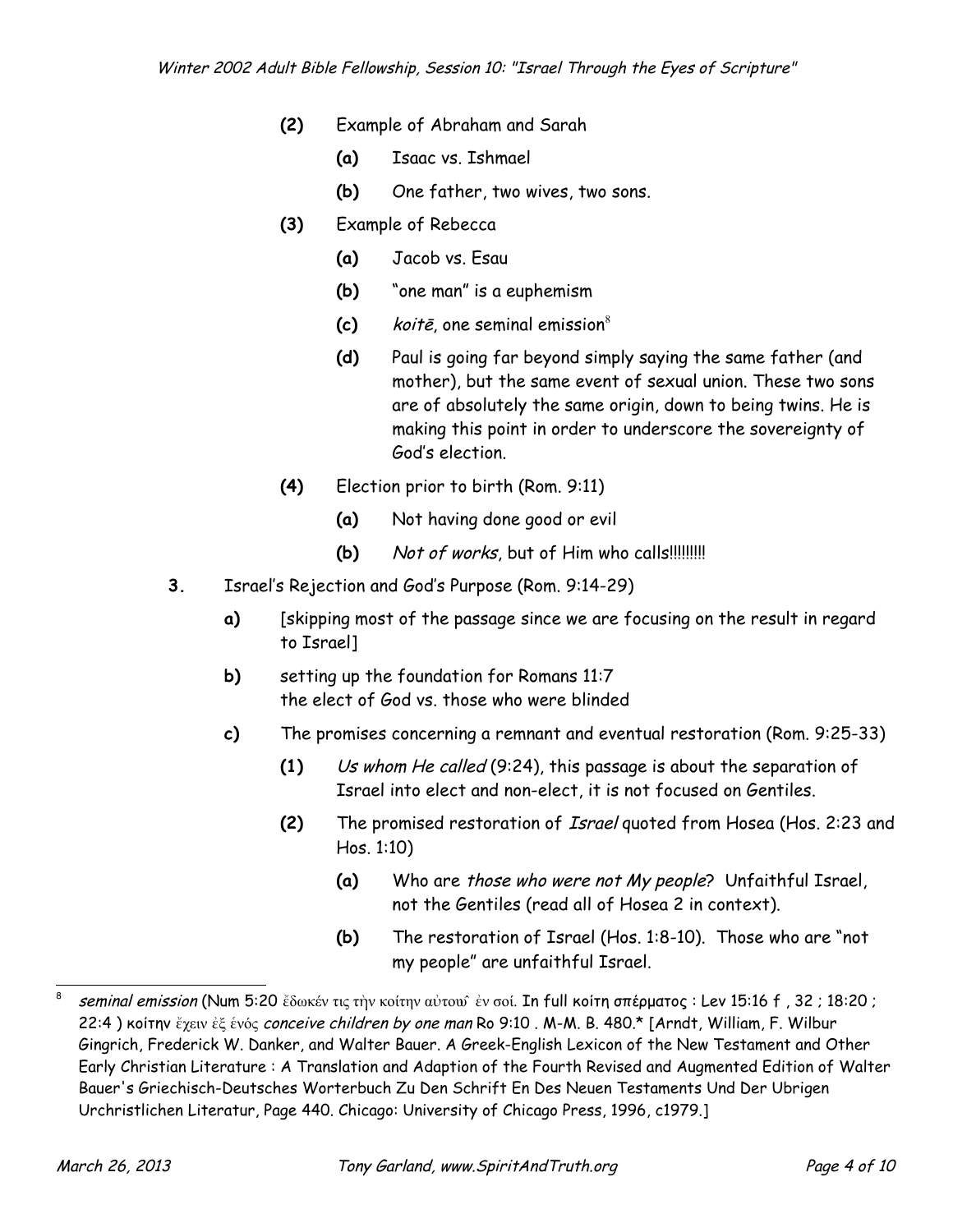- **(2)** Example of Abraham and Sarah
	- **(a)** Isaac vs. Ishmael
	- **(b)** One father, two wives, two sons.
- **(3)** Example of Rebecca
	- **(a)** Jacob vs. Esau
	- **(b)** "one man" is a euphemism
	- **(c)** koitē, one seminal emission[8](#page-3-0)
	- **(d)** Paul is going far beyond simply saying the same father (and mother), but the same event of sexual union. These two sons are of absolutely the same origin, down to being twins. He is making this point in order to underscore the sovereignty of God's election.
- **(4)** Election prior to birth (Rom. 9:11)
	- **(a)** Not having done good or evil
	- **(b)** Not of works, but of Him who calls!!!!!!!!!!
- **3.** Israel's Rejection and God's Purpose (Rom. 9:14-29)
	- **a)** [skipping most of the passage since we are focusing on the result in regard to Israel]
	- **b)** setting up the foundation for Romans 11:7 the elect of God vs. those who were blinded
	- **c)** The promises concerning a remnant and eventual restoration (Rom. 9:25-33)
		- **(1)** Us whom He called (9:24), this passage is about the separation of Israel into elect and non-elect, it is not focused on Gentiles.
		- **(2)** The promised restoration of Israel quoted from Hosea (Hos. 2:23 and Hos. 1:10)
			- **(a)** Who are those who were not My people? Unfaithful Israel, not the Gentiles (read all of Hosea 2 in context).
			- **(b)** The restoration of Israel (Hos. 1:8-10). Those who are "not my people" are unfaithful Israel.

<span id="page-3-0"></span><sup>8</sup> seminal emission (Num 5:20 ἔδωκέν τις τὴν κοίτην αὐτουῦ ἐν σοί. In full κοίτη σπέρματος : Lev 15:16 f , 32 ; 18:20 ; 22:4 ) κοίτην ἔχειν ἐξ ἑνός conceive children by one man Ro 9:10 . M-M. B. 480.\* [Arndt, William, F. Wilbur Gingrich, Frederick W. Danker, and Walter Bauer. A Greek-English Lexicon of the New Testament and Other Early Christian Literature : A Translation and Adaption of the Fourth Revised and Augmented Edition of Walter Bauer's Griechisch-Deutsches Worterbuch Zu Den Schrift En Des Neuen Testaments Und Der Ubrigen Urchristlichen Literatur, Page 440. Chicago: University of Chicago Press, 1996, c1979.]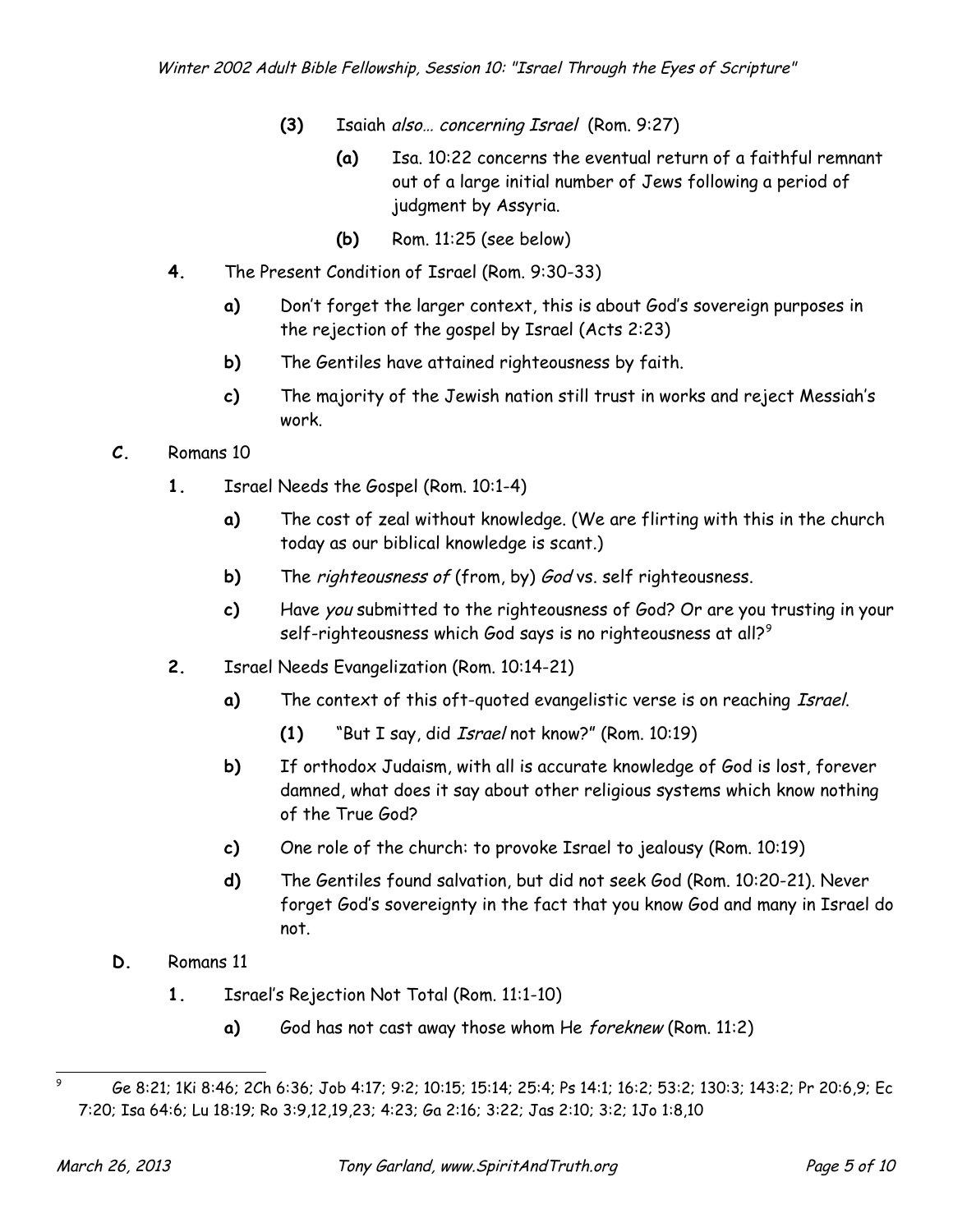- **(3)** Isaiah also… concerning Israel (Rom. 9:27)
	- **(a)** Isa. 10:22 concerns the eventual return of a faithful remnant out of a large initial number of Jews following a period of judgment by Assyria.
	- **(b)** Rom. 11:25 (see below)
- **4.** The Present Condition of Israel (Rom. 9:30-33)
	- **a)** Don't forget the larger context, this is about God's sovereign purposes in the rejection of the gospel by Israel (Acts 2:23)
	- **b)** The Gentiles have attained righteousness by faith.
	- **c)** The majority of the Jewish nation still trust in works and reject Messiah's work.

## **C.** Romans 10

- **1.** Israel Needs the Gospel (Rom. 10:1-4)
	- **a)** The cost of zeal without knowledge. (We are flirting with this in the church today as our biblical knowledge is scant.)
	- **b)** The *righteousness of* (from, by) God vs. self righteousness.
	- **c)** Have you submitted to the righteousness of God? Or are you trusting in your self-righteousness which God says is no righteousness at all?<sup>[9](#page-4-0)</sup>
- **2.** Israel Needs Evangelization (Rom. 10:14-21)
	- **a)** The context of this oft-quoted evangelistic verse is on reaching Israel.
		- **(1)** "But I say, did Israel not know?" (Rom. 10:19)
	- **b)** If orthodox Judaism, with all is accurate knowledge of God is lost, forever damned, what does it say about other religious systems which know nothing of the True God?
	- **c)** One role of the church: to provoke Israel to jealousy (Rom. 10:19)
	- **d)** The Gentiles found salvation, but did not seek God (Rom. 10:20-21). Never forget God's sovereignty in the fact that you know God and many in Israel do not.
- **D.** Romans 11
	- **1.** Israel's Rejection Not Total (Rom. 11:1-10)
		- **a)** God has not cast away those whom He foreknew (Rom. 11:2)

<span id="page-4-0"></span><sup>9</sup> Ge 8:21; 1Ki 8:46; 2Ch 6:36; Job 4:17; 9:2; 10:15; 15:14; 25:4; Ps 14:1; 16:2; 53:2; 130:3; 143:2; Pr 20:6,9; Ec 7:20; Isa 64:6; Lu 18:19; Ro 3:9,12,19,23; 4:23; Ga 2:16; 3:22; Jas 2:10; 3:2; 1Jo 1:8,10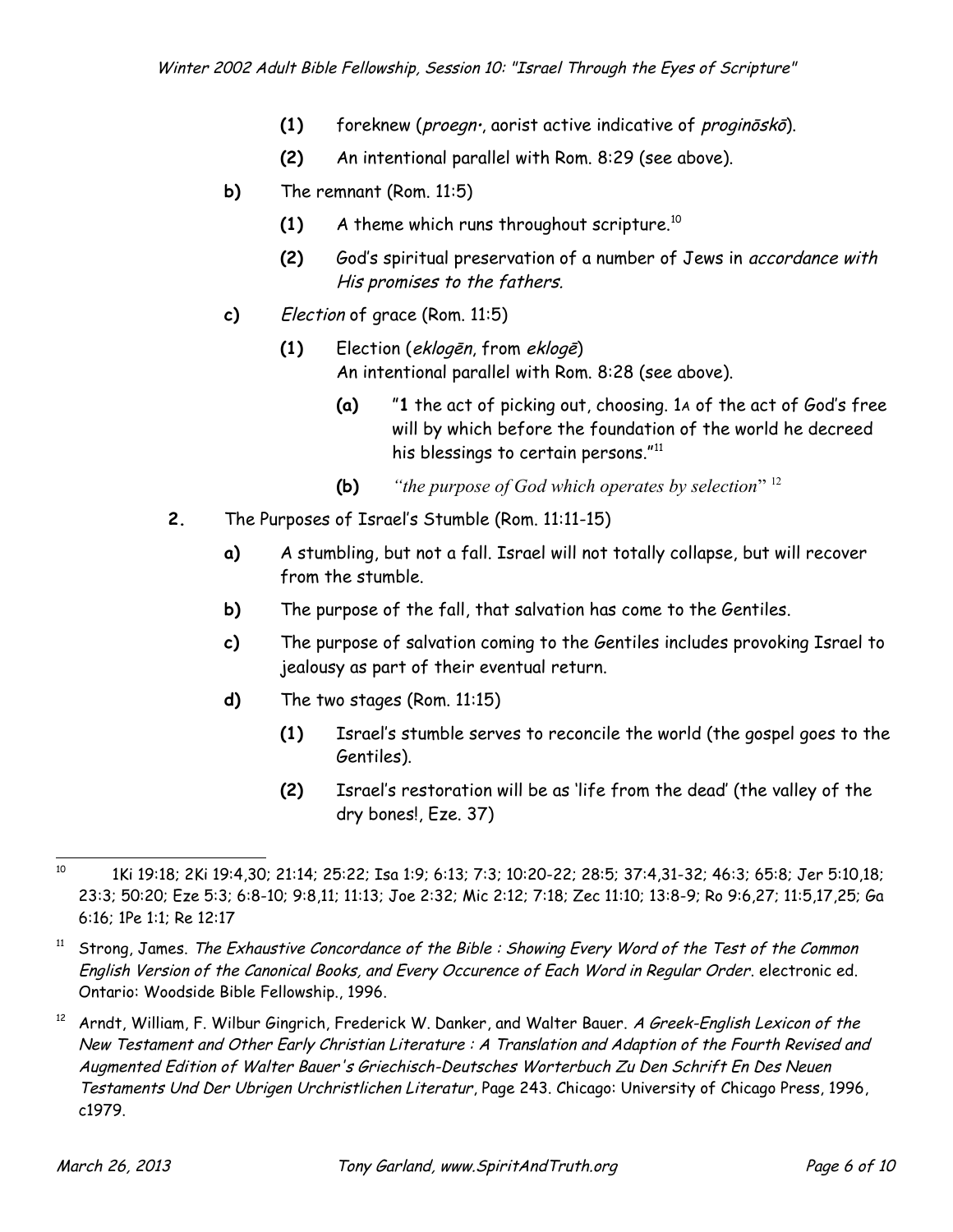- **(1)** foreknew (proegn, aorist active indicative of proginōskō).
- **(2)** An intentional parallel with Rom. 8:29 (see above).
- **b)** The remnant (Rom. 11:5)
	- **(1)** A theme which runs throughout scripture.[10](#page-5-0)
	- **(2)** God's spiritual preservation of a number of Jews in accordance with His promises to the fathers.
- **c)** Election of grace (Rom. 11:5)
	- **(1)** Election (eklogēn, from eklogē) An intentional parallel with Rom. 8:28 (see above).
		- **(a)** "**1** the act of picking out, choosing. 1A of the act of God's free will by which before the foundation of the world he decreed his blessings to certain persons." $11$
		- **(b)** *"the purpose of God which operates by selection*" [12](#page-5-2)
- **2.** The Purposes of Israel's Stumble (Rom. 11:11-15)
	- **a)** A stumbling, but not a fall. Israel will not totally collapse, but will recover from the stumble.
	- **b)** The purpose of the fall, that salvation has come to the Gentiles.
	- **c)** The purpose of salvation coming to the Gentiles includes provoking Israel to jealousy as part of their eventual return.
	- **d)** The two stages (Rom. 11:15)
		- **(1)** Israel's stumble serves to reconcile the world (the gospel goes to the Gentiles).
		- **(2)** Israel's restoration will be as 'life from the dead' (the valley of the dry bones!, Eze. 37)

<span id="page-5-0"></span><sup>10</sup> 1Ki 19:18; 2Ki 19:4,30; 21:14; 25:22; Isa 1:9; 6:13; 7:3; 10:20-22; 28:5; 37:4,31-32; 46:3; 65:8; Jer 5:10,18; 23:3; 50:20; Eze 5:3; 6:8-10; 9:8,11; 11:13; Joe 2:32; Mic 2:12; 7:18; Zec 11:10; 13:8-9; Ro 9:6,27; 11:5,17,25; Ga 6:16; 1Pe 1:1; Re 12:17

<span id="page-5-1"></span> $11$  Strong, James. The Exhaustive Concordance of the Bible : Showing Every Word of the Test of the Common English Version of the Canonical Books, and Every Occurence of Each Word in Regular Order. electronic ed. Ontario: Woodside Bible Fellowship., 1996.

<span id="page-5-2"></span>Arndt, William, F. Wilbur Gingrich, Frederick W. Danker, and Walter Bauer. A Greek-English Lexicon of the New Testament and Other Early Christian Literature : A Translation and Adaption of the Fourth Revised and Augmented Edition of Walter Bauer's Griechisch-Deutsches Worterbuch Zu Den Schrift En Des Neuen Testaments Und Der Ubrigen Urchristlichen Literatur, Page 243. Chicago: University of Chicago Press, 1996, c1979.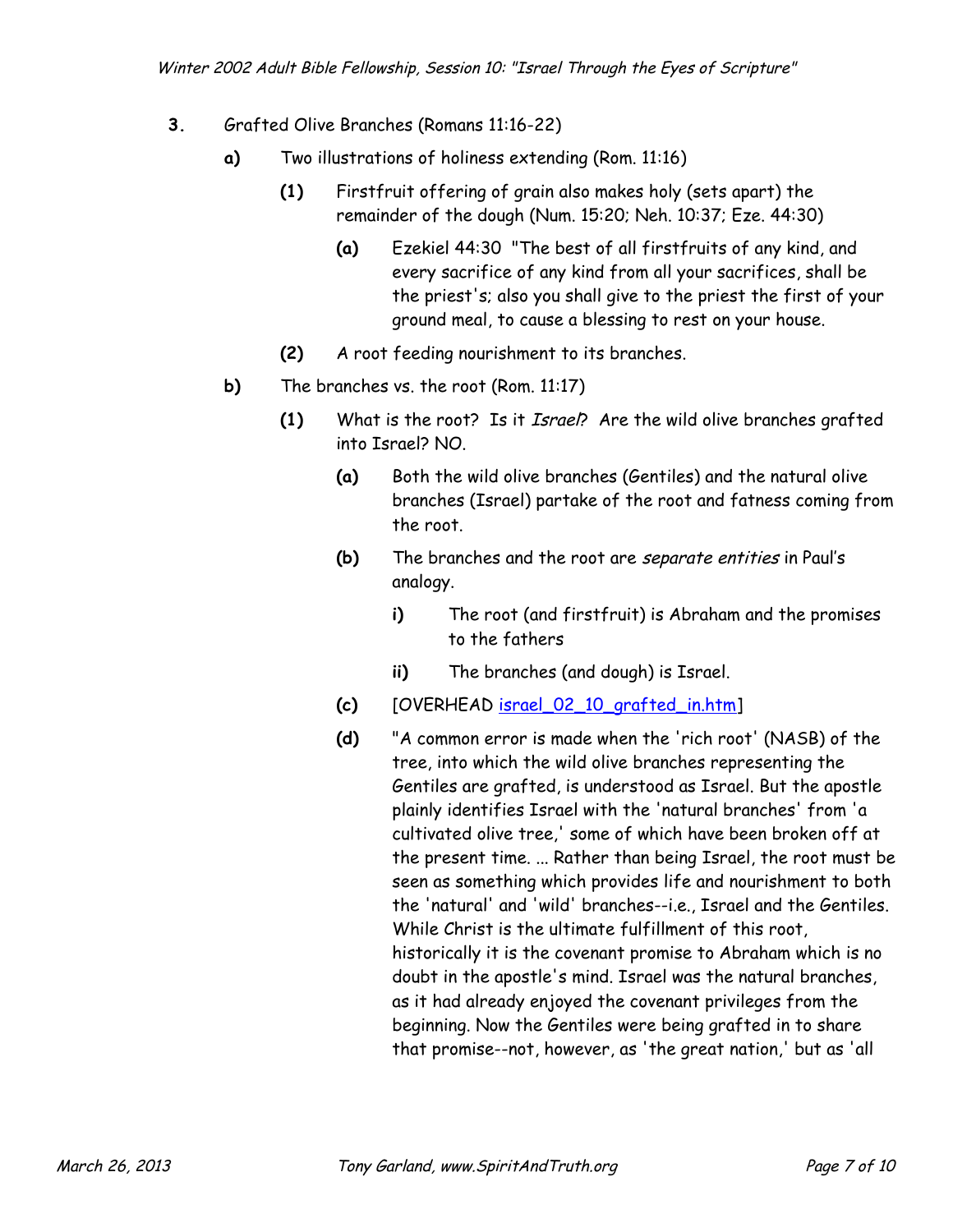- **3.** Grafted Olive Branches (Romans 11:16-22)
	- **a)** Two illustrations of holiness extending (Rom. 11:16)
		- **(1)** Firstfruit offering of grain also makes holy (sets apart) the remainder of the dough (Num. 15:20; Neh. 10:37; Eze. 44:30)
			- **(a)** Ezekiel 44:30 "The best of all firstfruits of any kind, and every sacrifice of any kind from all your sacrifices, shall be the priest's; also you shall give to the priest the first of your ground meal, to cause a blessing to rest on your house.
		- **(2)** A root feeding nourishment to its branches.
	- **b)** The branches vs. the root (Rom. 11:17)
		- **(1)** What is the root? Is it Israel? Are the wild olive branches grafted into Israel? NO.
			- **(a)** Both the wild olive branches (Gentiles) and the natural olive branches (Israel) partake of the root and fatness coming from the root.
			- **(b)** The branches and the root are separate entities in Paul's analogy.
				- **i)** The root (and firstfruit) is Abraham and the promises to the fathers
				- **ii)** The branches (and dough) is Israel.
			- **(c)** [OVERHEAD [israel\\_02\\_10\\_grafted\\_in.htm\]](http://www.spiritandtruth.org/teaching/israel_through_the_eyes_of_scripture/10_the_church_in_relation_to_israel/israel_02_10_grafted_in.htm)
			- **(d)** "A common error is made when the 'rich root' (NASB) of the tree, into which the wild olive branches representing the Gentiles are grafted, is understood as Israel. But the apostle plainly identifies Israel with the 'natural branches' from 'a cultivated olive tree,' some of which have been broken off at the present time. ... Rather than being Israel, the root must be seen as something which provides life and nourishment to both the 'natural' and 'wild' branches--i.e., Israel and the Gentiles. While Christ is the ultimate fulfillment of this root, historically it is the covenant promise to Abraham which is no doubt in the apostle's mind. Israel was the natural branches, as it had already enjoyed the covenant privileges from the beginning. Now the Gentiles were being grafted in to share that promise--not, however, as 'the great nation,' but as 'all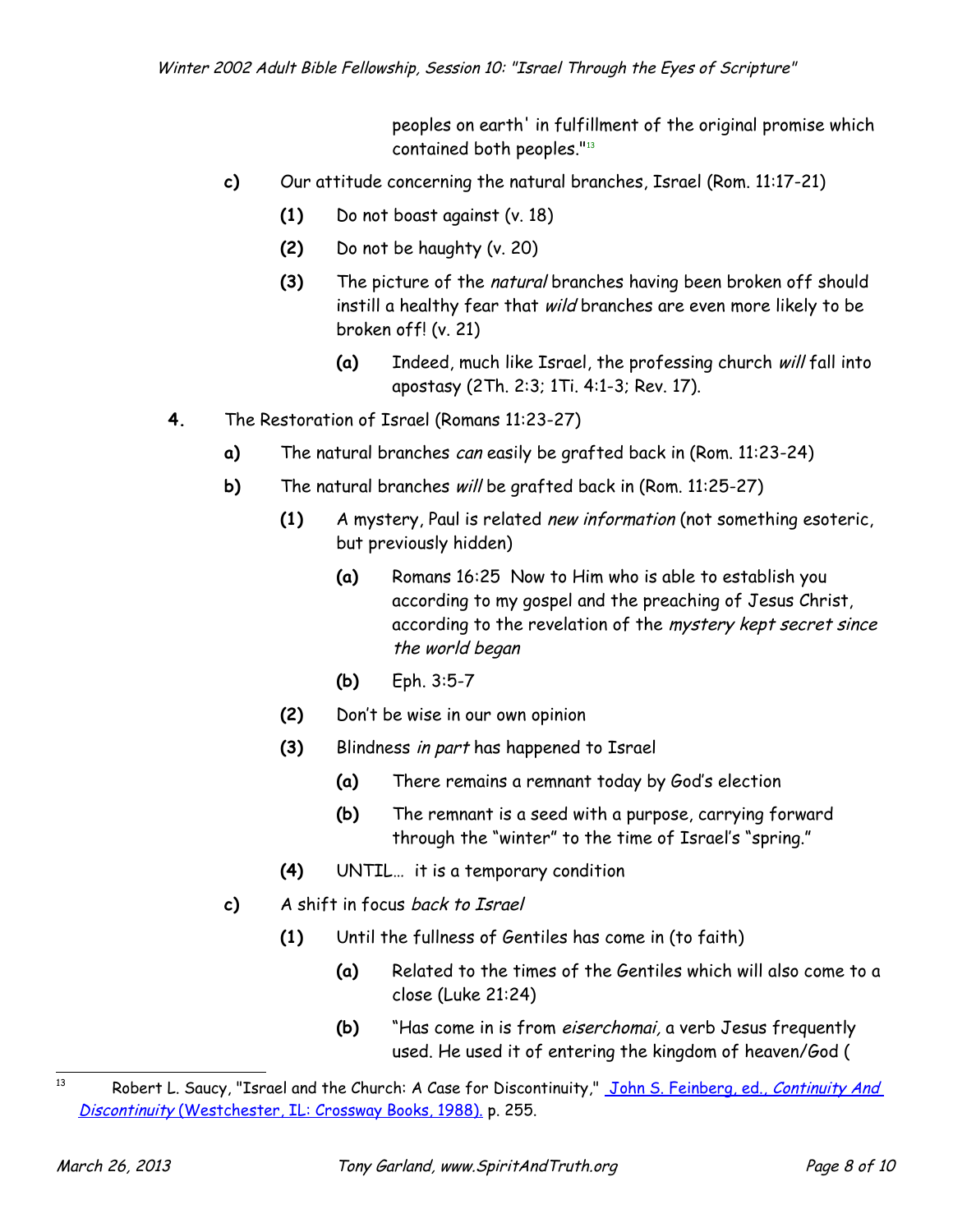peoples on earth' in fulfillment of the original promise which contained both peoples."[13](#page-7-0)

- **c)** Our attitude concerning the natural branches, Israel (Rom. 11:17-21)
	- **(1)** Do not boast against (v. 18)
	- **(2)** Do not be haughty (v. 20)
	- **(3)** The picture of the natural branches having been broken off should instill a healthy fear that wild branches are even more likely to be broken off! (v. 21)
		- **(a)** Indeed, much like Israel, the professing church will fall into apostasy (2Th. 2:3; 1Ti. 4:1-3; Rev. 17).
- **4.** The Restoration of Israel (Romans 11:23-27)
	- **a)** The natural branches can easily be grafted back in (Rom. 11:23-24)
	- **b)** The natural branches will be grafted back in (Rom. 11:25-27)
		- **(1)** A mystery, Paul is related new information (not something esoteric, but previously hidden)
			- **(a)** Romans 16:25 Now to Him who is able to establish you according to my gospel and the preaching of Jesus Christ, according to the revelation of the mystery kept secret since the world began
			- **(b)** Eph. 3:5-7
		- **(2)** Don't be wise in our own opinion
		- **(3)** Blindness in part has happened to Israel
			- **(a)** There remains a remnant today by God's election
			- **(b)** The remnant is a seed with a purpose, carrying forward through the "winter" to the time of Israel's "spring."
		- **(4)** UNTIL… it is a temporary condition
	- **c)** A shift in focus back to Israel
		- **(1)** Until the fullness of Gentiles has come in (to faith)
			- **(a)** Related to the times of the Gentiles which will also come to a close (Luke 21:24)
			- **(b)** "Has come in is from eiserchomai, a verb Jesus frequently used. He used it of entering the kingdom of heaven/God (

<span id="page-7-0"></span><sup>&</sup>lt;sup>13</sup> Robert L. Saucy, "Israel and the Church: A Case for Discontinuity," [John S. Feinberg, ed.,](javascript:X() Continuity And Discontinuity [\(Westchester, IL: Crossway Books, 1988\).](javascript:X() p. 255.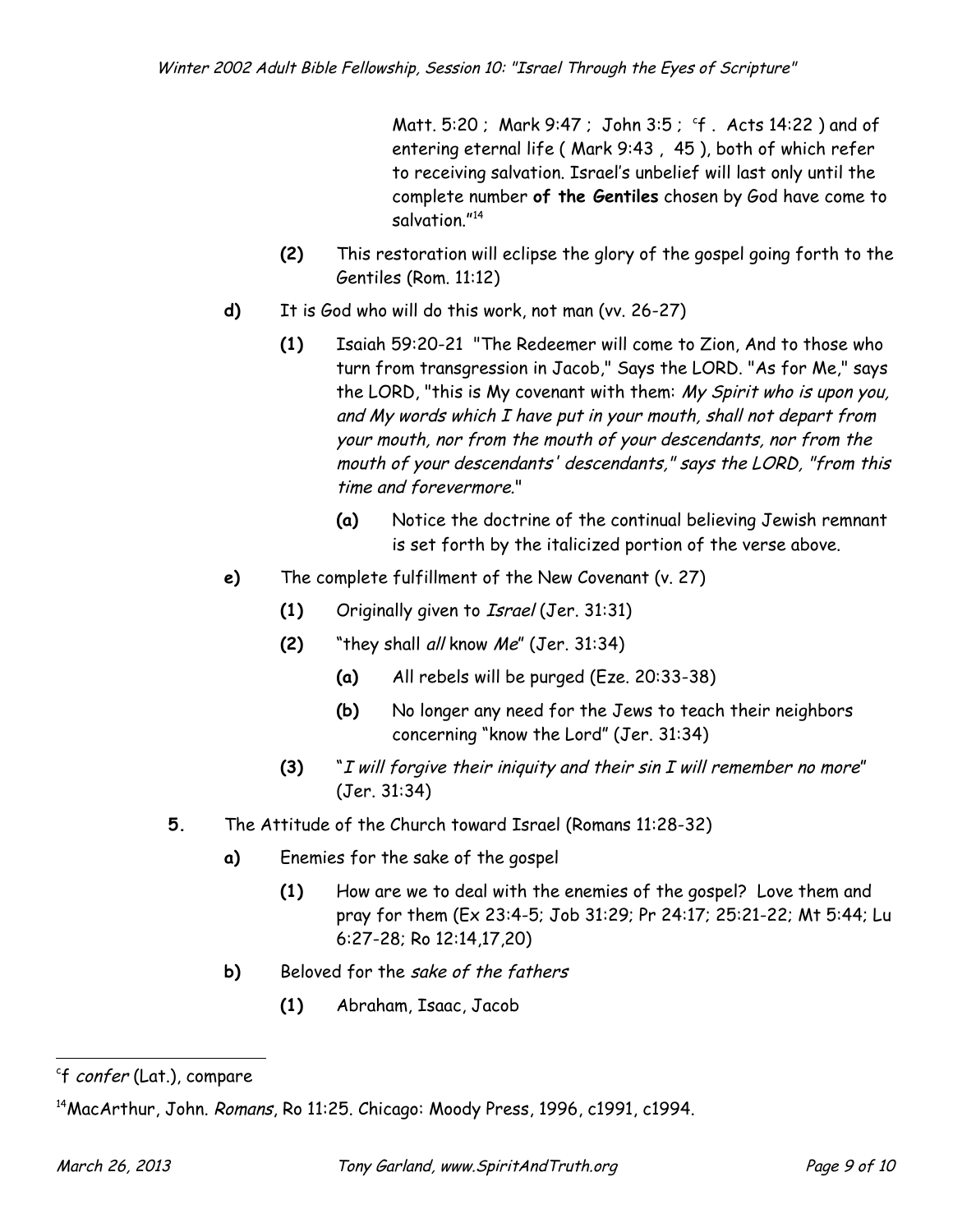Matt. 5:20 ; Mark 9:47 ; John 3:5 ; 'f . A[c](#page-8-0)ts 14:22 ) and of entering eternal life ( Mark 9:43 , 45 ), both of which refer to receiving salvation. Israel's unbelief will last only until the complete number **of the Gentiles** chosen by God have come to salvation."<sup>[14](#page-8-1)</sup>

- **(2)** This restoration will eclipse the glory of the gospel going forth to the Gentiles (Rom. 11:12)
- **d)** It is God who will do this work, not man (vv. 26-27)
	- **(1)** Isaiah 59:20-21 "The Redeemer will come to Zion, And to those who turn from transgression in Jacob," Says the LORD. "As for Me," says the LORD, "this is My covenant with them: My Spirit who is upon you, and My words which I have put in your mouth, shall not depart from your mouth, nor from the mouth of your descendants, nor from the mouth of your descendants' descendants," says the LORD, "from this time and forevermore."
		- **(a)** Notice the doctrine of the continual believing Jewish remnant is set forth by the italicized portion of the verse above.
- **e)** The complete fulfillment of the New Covenant (v. 27)
	- **(1)** Originally given to Israel (Jer. 31:31)
	- **(2)** "they shall all know Me" (Jer. 31:34)
		- **(a)** All rebels will be purged (Eze. 20:33-38)
		- **(b)** No longer any need for the Jews to teach their neighbors concerning "know the Lord" (Jer. 31:34)
	- **(3)** "I will forgive their iniquity and their sin I will remember no more" (Jer. 31:34)
- **5.** The Attitude of the Church toward Israel (Romans 11:28-32)
	- **a)** Enemies for the sake of the gospel
		- **(1)** How are we to deal with the enemies of the gospel? Love them and pray for them (Ex 23:4-5; Job 31:29; Pr 24:17; 25:21-22; Mt 5:44; Lu 6:27-28; Ro 12:14,17,20)
	- **b)** Beloved for the sake of the fathers
		- **(1)** Abraham, Isaac, Jacob

<span id="page-8-0"></span><sup>&</sup>lt;sup>c</sup>f *confer* (Lat.), compare

<span id="page-8-1"></span><sup>&</sup>lt;sup>14</sup>MacArthur, John. *Romans*, Ro 11:25. Chicago: Moody Press, 1996, c1991, c1994.